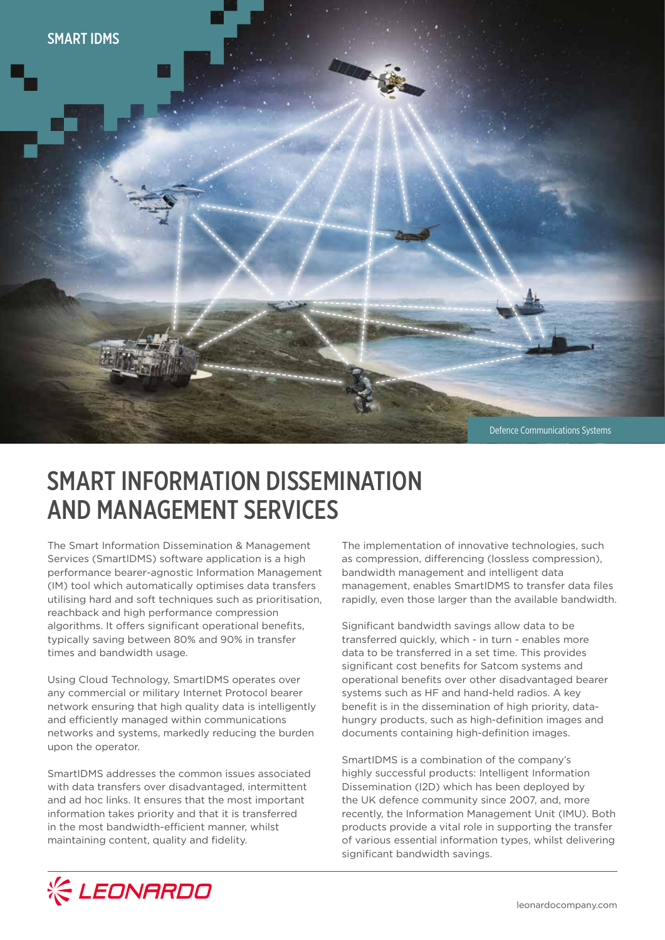

# SMART INFORMATION DISSEMINATION AND MANAGEMENT SERVICES

The Smart Information Dissemination & Management Services (SmartIDMS) software application is a high performance bearer-agnostic Information Management (IM) tool which automatically optimises data transfers utilising hard and soft techniques such as prioritisation, reachback and high performance compression algorithms. It offers significant operational benefits, typically saving between 80% and 90% in transfer times and bandwidth usage.

Using Cloud Technology, SmartIDMS operates over any commercial or military Internet Protocol bearer network ensuring that high quality data is intelligently and efficiently managed within communications networks and systems, markedly reducing the burden upon the operator.

SmartIDMS addresses the common issues associated with data transfers over disadvantaged, intermittent and ad hoc links. It ensures that the most important information takes priority and that it is transferred in the most bandwidth-efficient manner, whilst maintaining content, quality and fidelity.

The implementation of innovative technologies, such as compression, differencing (lossless compression), bandwidth management and intelligent data management, enables SmartIDMS to transfer data files rapidly, even those larger than the available bandwidth.

Significant bandwidth savings allow data to be transferred quickly, which - in turn - enables more data to be transferred in a set time. This provides significant cost benefits for Satcom systems and operational benefits over other disadvantaged bearer systems such as HF and hand-held radios. A key benefit is in the dissemination of high priority, datahungry products, such as high-definition images and documents containing high-definition images.

SmartIDMS is a combination of the company's highly successful products: Intelligent Information Dissemination (I2D) which has been deployed by the UK defence community since 2007, and, more recently, the Information Management Unit (IMU). Both products provide a vital role in supporting the transfer of various essential information types, whilst delivering significant bandwidth savings.

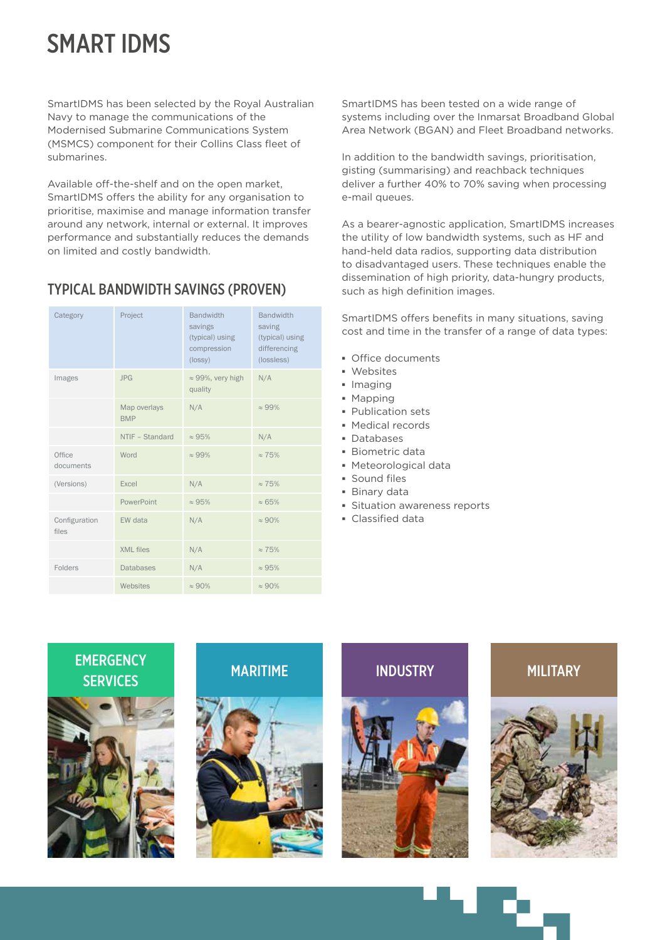# SMART IDMS

SmartIDMS has been selected by the Royal Australian Navy to manage the communications of the Modernised Submarine Communications System (MSMCS) component for their Collins Class fleet of submarines.

Available off-the-shelf and on the open market, SmartIDMS offers the ability for any organisation to prioritise, maximise and manage information transfer around any network, internal or external. It improves performance and substantially reduces the demands on limited and costly bandwidth.

# TYPICAL BANDWIDTH SAVINGS (PROVEN)

| Category               | Project                    | <b>Bandwidth</b><br>savings<br>(typical) using<br>compression<br>(lossy) | <b>Bandwidth</b><br>saving<br>(typical) using<br>differencing<br>(lossless) |
|------------------------|----------------------------|--------------------------------------------------------------------------|-----------------------------------------------------------------------------|
| Images                 | <b>JPG</b>                 | $\approx$ 99%, very high<br>quality                                      | N/A                                                                         |
|                        | Map overlays<br><b>BMP</b> | N/A                                                                      | $\approx 99\%$                                                              |
|                        | NTIF - Standard            | $\approx 95\%$                                                           | N/A                                                                         |
| Office<br>documents    | Word                       | $\approx 99\%$                                                           | $\approx 75\%$                                                              |
| (Versions)             | Excel                      | N/A                                                                      | $\approx 75\%$                                                              |
|                        | PowerPoint                 | $\approx 95\%$                                                           | $\approx 65\%$                                                              |
| Configuration<br>files | EW data                    | N/A                                                                      | $\approx 90\%$                                                              |
|                        | <b>XML</b> files           | N/A                                                                      | $\approx 75\%$                                                              |
| Folders                | <b>Databases</b>           | N/A                                                                      | $\approx 95\%$                                                              |
|                        | Websites                   | $\approx 90\%$                                                           | $\approx 90\%$                                                              |

SmartIDMS has been tested on a wide range of systems including over the Inmarsat Broadband Global Area Network (BGAN) and Fleet Broadband networks.

In addition to the bandwidth savings, prioritisation, gisting (summarising) and reachback techniques deliver a further 40% to 70% saving when processing e-mail queues.

As a bearer-agnostic application, SmartIDMS increases the utility of low bandwidth systems, such as HF and hand-held data radios, supporting data distribution to disadvantaged users. These techniques enable the dissemination of high priority, data-hungry products, such as high definition images.

SmartIDMS offers benefits in many situations, saving cost and time in the transfer of a range of data types:

- **▪** Office documents
- **▪** Websites
- **▪** Imaging
- **▪** Mapping
- **▪** Publication sets
- **▪** Medical records
- **▪** Databases
- **▪** Biometric data
- **▪** Meteorological data
- **▪** Sound files
- **▪** Binary data
- **▪** Situation awareness reports
- **▪** Classified data









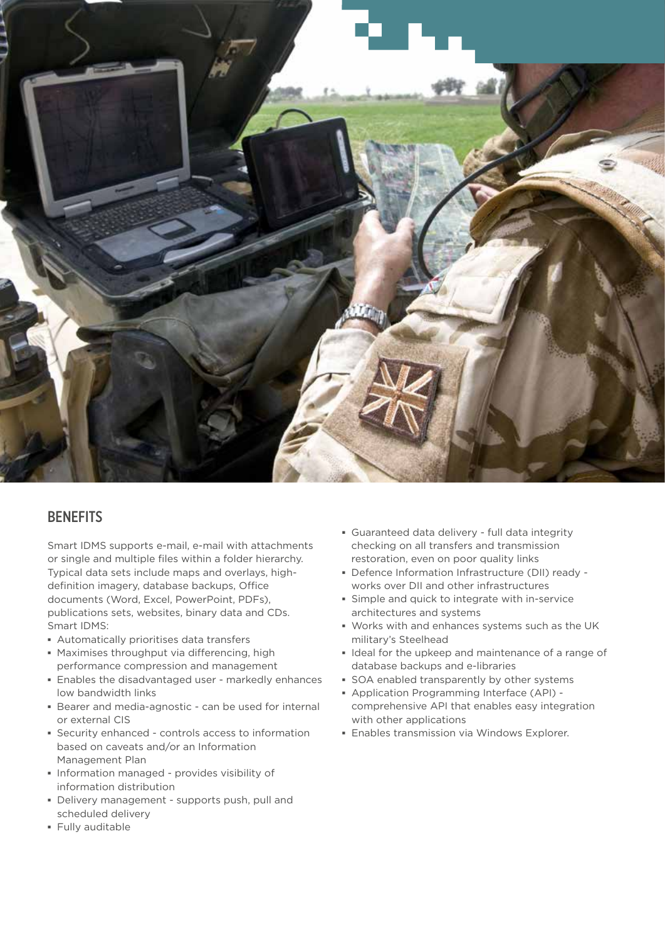

## **BENEFITS**

Smart IDMS supports e-mail, e-mail with attachments or single and multiple files within a folder hierarchy. Typical data sets include maps and overlays, highdefinition imagery, database backups, Office documents (Word, Excel, PowerPoint, PDFs), publications sets, websites, binary data and CDs. Smart IDMS:

- **▪** Automatically prioritises data transfers
- **▪** Maximises throughput via differencing, high performance compression and management
- **▪** Enables the disadvantaged user markedly enhances low bandwidth links
- **▪** Bearer and media-agnostic can be used for internal or external CIS
- **▪** Security enhanced controls access to information based on caveats and/or an Information Management Plan
- **▪** Information managed provides visibility of information distribution
- **▪** Delivery management supports push, pull and scheduled delivery
- **▪** Fully auditable
- **▪** Guaranteed data delivery full data integrity checking on all transfers and transmission restoration, even on poor quality links
- **▪** Defence Information Infrastructure (DII) ready works over DII and other infrastructures
- **▪** Simple and quick to integrate with in-service architectures and systems
- **▪** Works with and enhances systems such as the UK military's Steelhead
- **▪** Ideal for the upkeep and maintenance of a range of database backups and e-libraries
- **▪** SOA enabled transparently by other systems
- **▪** Application Programming Interface (API) comprehensive API that enables easy integration with other applications
- **▪** Enables transmission via Windows Explorer.